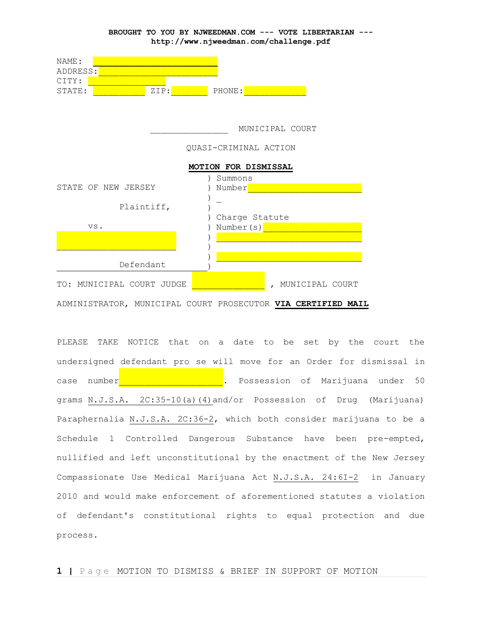

PLEASE TAKE NOTICE that on a date to be set by the court the undersigned defendant pro se will move for an Order for dismissal in case number**the and the set of the set of Southern** Case number 50 grams N.J.S.A. 2C:35-10(a)(4)and/or Possession of Drug (Marijuana) Paraphernalia N.J.S.A. 2C:36-2, which both consider marijuana to be a Schedule 1 Controlled Dangerous Substance have been pre-empted, nullified and left unconstitutional by the enactment of the New Jersey Compassionate Use Medical Marijuana Act N.J.S.A. 24:6I-2 in January 2010 and would make enforcement of aforementioned statutes a violation of defendant's constitutional rights to equal protection and due process.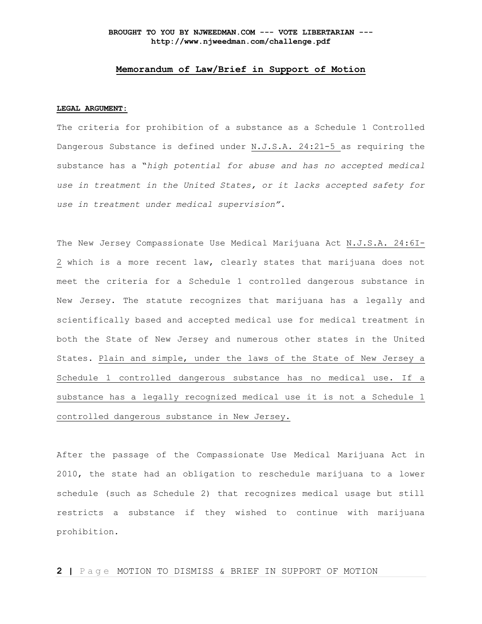## **Memorandum of Law/Brief in Support of Motion**

#### **LEGAL ARGUMENT:**

The criteria for prohibition of a substance as a Schedule 1 Controlled Dangerous Substance is defined under N.J.S.A. 24:21-5 as requiring the substance has a "*high potential for abuse and has no accepted medical use in treatment in the United States, or it lacks accepted safety for use in treatment under medical supervision"*.

The New Jersey Compassionate Use Medical Marijuana Act N.J.S.A. 24:6I-2 which is a more recent law, clearly states that marijuana does not meet the criteria for a Schedule 1 controlled dangerous substance in New Jersey. The statute recognizes that marijuana has a legally and scientifically based and accepted medical use for medical treatment in both the State of New Jersey and numerous other states in the United States. Plain and simple, under the laws of the State of New Jersey a Schedule 1 controlled dangerous substance has no medical use. If a substance has a legally recognized medical use it is not a Schedule 1 controlled dangerous substance in New Jersey.

After the passage of the Compassionate Use Medical Marijuana Act in 2010, the state had an obligation to reschedule marijuana to a lower schedule (such as Schedule 2) that recognizes medical usage but still restricts a substance if they wished to continue with marijuana prohibition.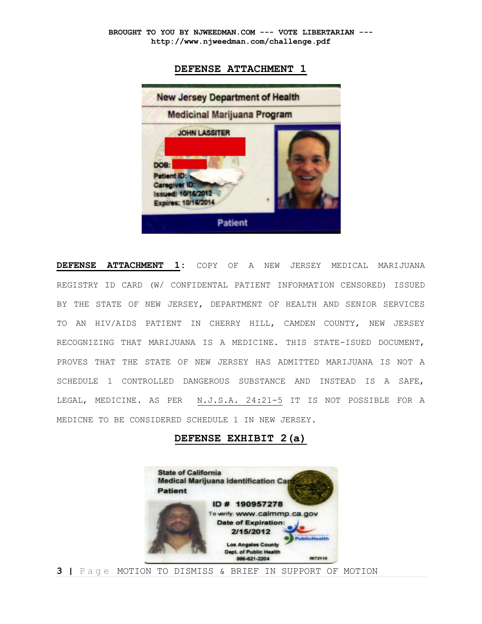## **DEFENSE ATTACHMENT 1**



**DEFENSE ATTACHMENT 1:** COPY OF A NEW JERSEY MEDICAL MARIJUANA REGISTRY ID CARD (W/ CONFIDENTAL PATIENT INFORMATION CENSORED) ISSUED BY THE STATE OF NEW JERSEY, DEPARTMENT OF HEALTH AND SENIOR SERVICES TO AN HIV/AIDS PATIENT IN CHERRY HILL, CAMDEN COUNTY, NEW JERSEY RECOGNIZING THAT MARIJUANA IS A MEDICINE. THIS STATE-ISUED DOCUMENT, PROVES THAT THE STATE OF NEW JERSEY HAS ADMITTED MARIJUANA IS NOT A SCHEDULE 1 CONTROLLED DANGEROUS SUBSTANCE AND INSTEAD IS A SAFE, LEGAL, MEDICINE. AS PER N.J.S.A. 24:21-5 IT IS NOT POSSIBLE FOR A MEDICNE TO BE CONSIDERED SCHEDULE 1 IN NEW JERSEY.

## **DEFENSE EXHIBIT 2(a)**

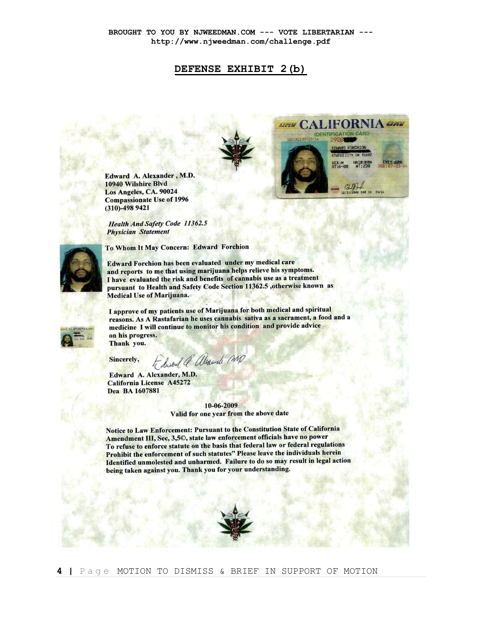# **DEFENSE EXHIBIT 2(b)**



Edward A. Alexander, M.D. 10940 Wilshire Blvd Los Angeles, CA. 90024 **Compassionate Use of 1996**  $(310) - 4989421$ 

**Health And Safety Code 11362.5 Physician Statement** 

To Whom It May Concern: Edward Forchion



Edward Forchion has been evaluated under my medical care and reports to me that using marijuana helps relieve his symptoms. I have evaluated the risk and benefits of cannabis use as a treatment pursuant to Health and Safety Code Section 11362.5 ,otherwise known as **Medical Use of Marijuana.** 

I approve of my patients use of Marijuana for both medical and spiritual reasons. As A Rastafarian he uses cannabis sativa as a sacrament, a food and a medicine I will continue to monitor his condition and provide advice on his progress. Thank you.

Sincerely,

to disand @ alexande mp

Edward A. Alexander, M.D. California License A45272 Dea BA 1607881

> 10-06-2009 Valid for one year from the above date

Notice to Law Enforcement: Pursuant to the Constitution State of California Amendment III, Sec, 3,50, state law enforcement officials have no power To refuse to enforce statute on the basis that federal law or federal regulations Prohibit the enforcement of such statutes" Please leave the individuals herein Identified unmolested and unharmed. Failure to do so may result in legal action being taken against you. Thank you for your understanding.

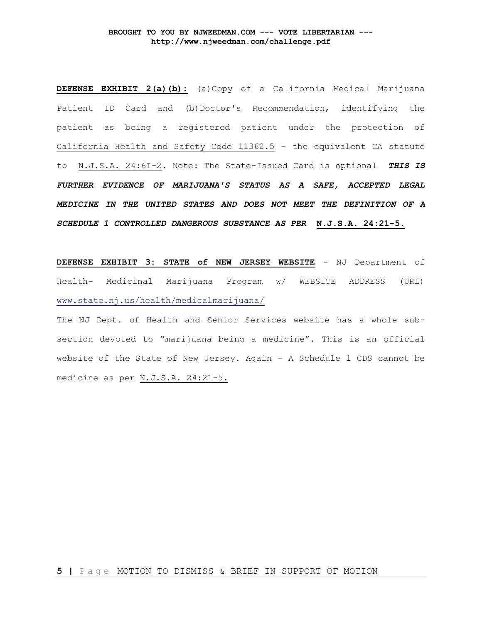**DEFENSE EXHIBIT 2(a)(b):** (a)Copy of a California Medical Marijuana Patient ID Card and (b)Doctor's Recommendation, identifying the patient as being a registered patient under the protection of California Health and Safety Code 11362.5 – the equivalent CA statute to N.J.S.A. 24:6I-2. Note: The State-Issued Card is optional *THIS IS FURTHER EVIDENCE OF MARIJUANA'S STATUS AS A SAFE, ACCEPTED LEGAL MEDICINE IN THE UNITED STATES AND DOES NOT MEET THE DEFINITION OF A SCHEDULE 1 CONTROLLED DANGEROUS SUBSTANCE AS PER* **N.J.S.A. 24:21-5.**

**DEFENSE EXHIBIT 3: STATE of NEW JERSEY WEBSITE** - NJ Department of Health- Medicinal Marijuana Program w/ WEBSITE ADDRESS (URL) [www.state.nj.us/health/medicalmarijuana/](http://www.state.nj.us/health/medicalmarijuana/)

The NJ Dept. of Health and Senior Services website has a whole subsection devoted to "marijuana being a medicine". This is an official website of the State of New Jersey. Again – A Schedule 1 CDS cannot be medicine as per N.J.S.A. 24:21-5.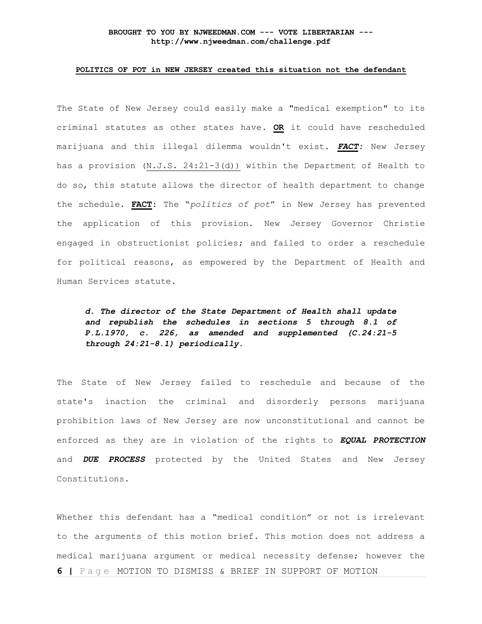## **POLITICS OF POT in NEW JERSEY created this situation not the defendant**

The State of New Jersey could easily make a "medical exemption" to its criminal statutes as other states have. **OR** it could have rescheduled marijuana and this illegal dilemma wouldn't exist. *FACT:* New Jersey has a provision (N.J.S. 24:21-3(d)) within the Department of Health to do so, this statute allows the director of health department to change the schedule. **FACT**: The "*politics of pot*" in New Jersey has prevented the application of this provision. New Jersey Governor Christie engaged in obstructionist policies; and failed to order a reschedule for political reasons, as empowered by the Department of Health and Human Services statute.

*d. The director of the State Department of Health shall update and republish the schedules in sections 5 through 8.1 of P.L.1970, c. 226, as amended and supplemented (C.24:21-5 through 24:21-8.1) periodically.*

The State of New Jersey failed to reschedule and because of the state's inaction the criminal and disorderly persons marijuana prohibition laws of New Jersey are now unconstitutional and cannot be enforced as they are in violation of the rights to *EQUAL PROTECTION* and *DUE PROCESS* protected by the United States and New Jersey Constitutions.

**6 |** P a g e MOTION TO DISMISS & BRIEF IN SUPPORT OF MOTION Whether this defendant has a "medical condition" or not is irrelevant to the arguments of this motion brief. This motion does not address a medical marijuana argument or medical necessity defense; however the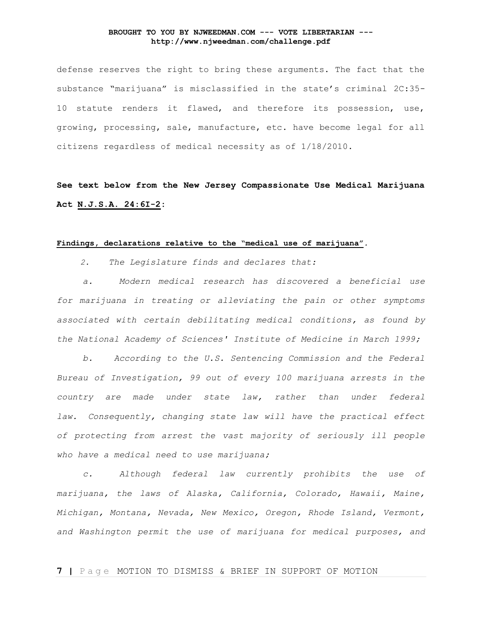defense reserves the right to bring these arguments. The fact that the substance "marijuana" is misclassified in the state's criminal 2C:35- 10 statute renders it flawed, and therefore its possession, use, growing, processing, sale, manufacture, etc. have become legal for all citizens regardless of medical necessity as of 1/18/2010.

**See text below from the New Jersey Compassionate Use Medical Marijuana Act N.J.S.A. 24:6I-2:**

## **Findings, declarations relative to the "medical use of marijuana"***.*

*2. The Legislature finds and declares that:*

 *a. Modern medical research has discovered a beneficial use for marijuana in treating or alleviating the pain or other symptoms associated with certain debilitating medical conditions, as found by the National Academy of Sciences' Institute of Medicine in March 1999;*

 *b. According to the U.S. Sentencing Commission and the Federal Bureau of Investigation, 99 out of every 100 marijuana arrests in the country are made under state law, rather than under federal law. Consequently, changing state law will have the practical effect of protecting from arrest the vast majority of seriously ill people who have a medical need to use marijuana;*

 *c. Although federal law currently prohibits the use of marijuana, the laws of Alaska, California, Colorado, Hawaii, Maine, Michigan, Montana, Nevada, New Mexico, Oregon, Rhode Island, Vermont, and Washington permit the use of marijuana for medical purposes, and*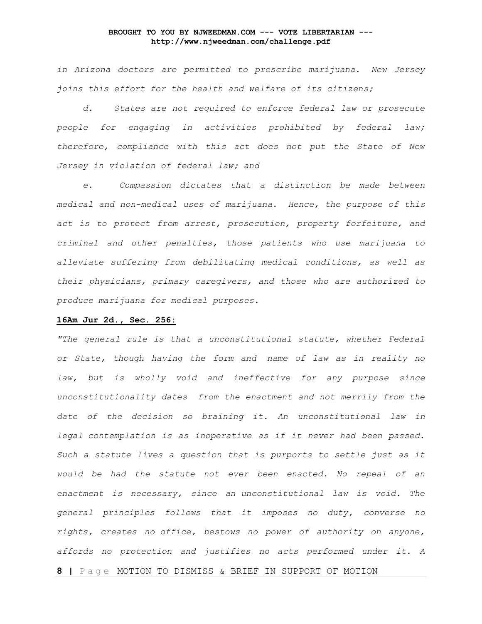*in Arizona doctors are permitted to prescribe marijuana. New Jersey joins this effort for the health and welfare of its citizens;*

 *d. States are not required to enforce federal law or prosecute people for engaging in activities prohibited by federal law; therefore, compliance with this act does not put the State of New Jersey in violation of federal law; and*

 *e. Compassion dictates that a distinction be made between medical and non-medical uses of marijuana. Hence, the purpose of this act is to protect from arrest, prosecution, property forfeiture, and criminal and other penalties, those patients who use marijuana to alleviate suffering from debilitating medical conditions, as well as their physicians, primary caregivers, and those who are authorized to produce marijuana for medical purposes.*

## **16Am Jur 2d., Sec. 256:**

**8 |** P a g e MOTION TO DISMISS & BRIEF IN SUPPORT OF MOTION *"The general rule is that a unconstitutional statute, whether Federal or State, though having the form and name of law as in reality no law, but is wholly void and ineffective for any purpose since unconstitutionality dates from the enactment and not merrily from the date of the decision so braining it. An unconstitutional law in legal contemplation is as inoperative as if it never had been passed. Such a statute lives a question that is purports to settle just as it would be had the statute not ever been enacted. No repeal of an enactment is necessary, since an unconstitutional law is void. The general principles follows that it imposes no duty, converse no rights, creates no office, bestows no power of authority on anyone, affords no protection and justifies no acts performed under it. A*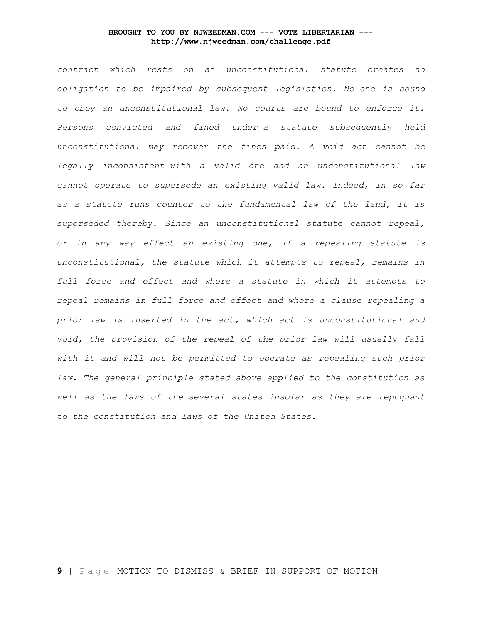*contract which rests on an unconstitutional statute creates no obligation to be impaired by subsequent legislation. No one is bound to obey an unconstitutional law. No courts are bound to enforce it. Persons convicted and fined under a statute subsequently held unconstitutional may recover the fines paid. A void act cannot be legally inconsistent with a valid one and an unconstitutional law cannot operate to supersede an existing valid law. Indeed, in so far as a statute runs counter to the fundamental law of the land, it is superseded thereby. Since an unconstitutional statute cannot repeal, or in any way effect an existing one, if a repealing statute is unconstitutional, the statute which it attempts to repeal, remains in full force and effect and where a statute in which it attempts to repeal remains in full force and effect and where a clause repealing a prior law is inserted in the act, which act is unconstitutional and void, the provision of the repeal of the prior law will usually fall with it and will not be permitted to operate as repealing such prior law. The general principle stated above applied to the constitution as well as the laws of the several states insofar as they are repugnant to the constitution and laws of the United States.*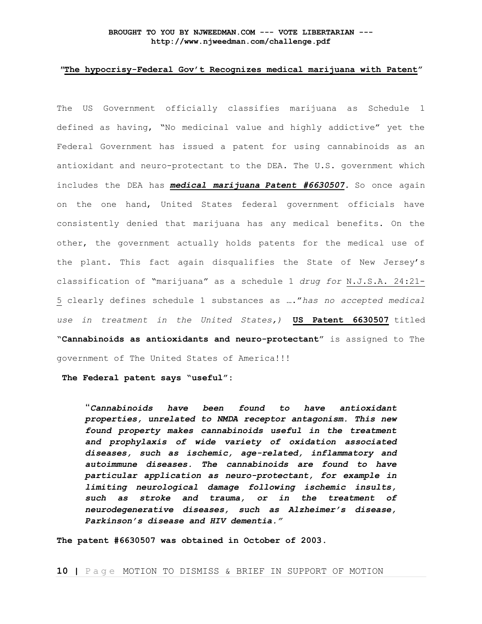## *"***The hypocrisy-Federal Gov't Recognizes medical marijuana with Patent"**

The US Government officially classifies marijuana as Schedule 1 defined as having, "No medicinal value and highly addictive" yet the Federal Government has issued a patent for using cannabinoids as an antioxidant and neuro-protectant to the DEA. The U.S. government which includes the DEA has *medical marijuana Patent #6630507.* So once again on the one hand, United States federal government officials have consistently denied that marijuana has any medical benefits. On the other, the government actually holds patents for the medical use of the plant. This fact again disqualifies the State of New Jersey's classification of "marijuana" as a schedule 1 *drug for* N.J.S.A. 24:21- 5 clearly defines schedule 1 substances as …."*has no accepted medical use in treatment in the United States,)* **[US Patent 6630507](http://www.patentstorm.us/patents/6630507.html)** titled "**Cannabinoids as antioxidants and neuro-protectant**" is assigned to The government of The United States of America!!!

**The Federal patent says "useful":**

"*Cannabinoids have been found to have antioxidant properties, unrelated to NMDA receptor antagonism. This new found property makes cannabinoids useful in the treatment and prophylaxis of wide variety of oxidation associated diseases, such as ischemic, age-related, inflammatory and autoimmune diseases. The cannabinoids are found to have particular application as neuro-protectant, for example in limiting neurological damage following ischemic insults, such as stroke and trauma, or in the treatment of neurodegenerative diseases, such as Alzheimer's disease, Parkinson's disease and HIV dementia."*

**The patent #6630507 was obtained in October of 2003**.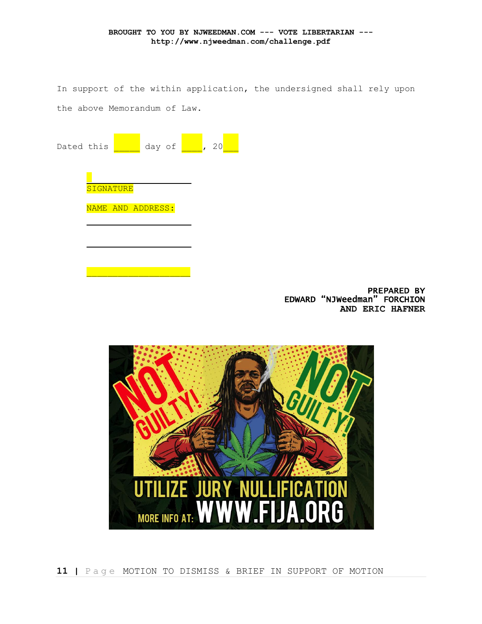In support of the within application, the undersigned shall rely upon the above Memorandum of Law.

| Dated this |                   |  | day of |  | 20 |  |
|------------|-------------------|--|--------|--|----|--|
|            | <b>SIGNATURE</b>  |  |        |  |    |  |
|            | NAME AND ADDRESS: |  |        |  |    |  |
|            |                   |  |        |  |    |  |
|            |                   |  |        |  |    |  |

PREPARED BY EDWARD "NJWeedman" FORCHION **AND ERIC HAFNER**

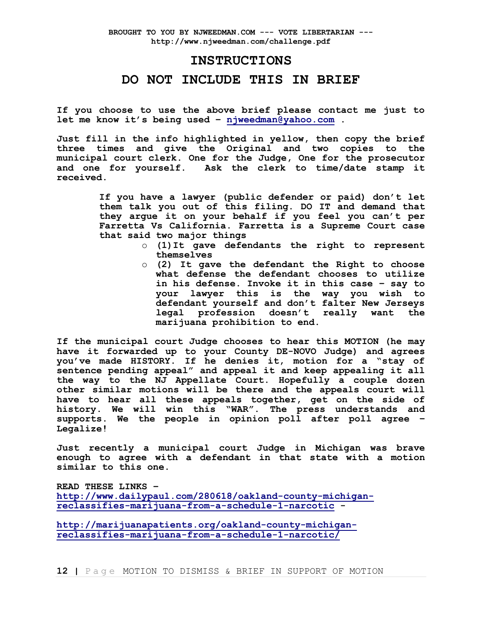# **INSTRUCTIONS**

# **DO NOT INCLUDE THIS IN BRIEF**

**If you choose to use the above brief please contact me just to let me know it's being used – [njweedman@yahoo.com](mailto:njweedman@yahoo.com) .**

**Just fill in the info highlighted in yellow, then copy the brief three times and give the Original and two copies to the municipal court clerk. One for the Judge, One for the prosecutor and one for yourself. Ask the clerk to time/date stamp it received.**

> **If you have a lawyer (public defender or paid) don't let them talk you out of this filing. DO IT and demand that they argue it on your behalf if you feel you can't per Farretta Vs California. Farretta is a Supreme Court case that said two major things**

- o **(1)It gave defendants the right to represent themselves**
- o **(2) It gave the defendant the Right to choose what defense the defendant chooses to utilize in his defense. Invoke it in this case – say to your lawyer this is the way you wish to defendant yourself and don't falter New Jerseys legal profession doesn't really want the marijuana prohibition to end.**

**If the municipal court Judge chooses to hear this MOTION (he may have it forwarded up to your County DE-NOVO Judge) and agrees you've made HISTORY. If he denies it, motion for a "stay of sentence pending appeal" and appeal it and keep appealing it all the way to the NJ Appellate Court. Hopefully a couple dozen other similar motions will be there and the appeals court will have to hear all these appeals together, get on the side of history. We will win this "WAR". The press understands and supports. We the people in opinion poll after poll agree – Legalize!**

**Just recently a municipal court Judge in Michigan was brave enough to agree with a defendant in that state with a motion similar to this one.** 

**READ THESE LINKS – [http://www.dailypaul.com/280618/oakland-county-michigan](http://www.dailypaul.com/280618/oakland-county-michigan-reclassifies-marijuana-from-a-schedule-1-narcotic)[reclassifies-marijuana-from-a-schedule-1-narcotic](http://www.dailypaul.com/280618/oakland-county-michigan-reclassifies-marijuana-from-a-schedule-1-narcotic) -**

**[http://marijuanapatients.org/oakland-county-michigan](http://marijuanapatients.org/oakland-county-michigan-reclassifies-marijuana-from-a-schedule-1-narcotic/)[reclassifies-marijuana-from-a-schedule-1-narcotic/](http://marijuanapatients.org/oakland-county-michigan-reclassifies-marijuana-from-a-schedule-1-narcotic/)**